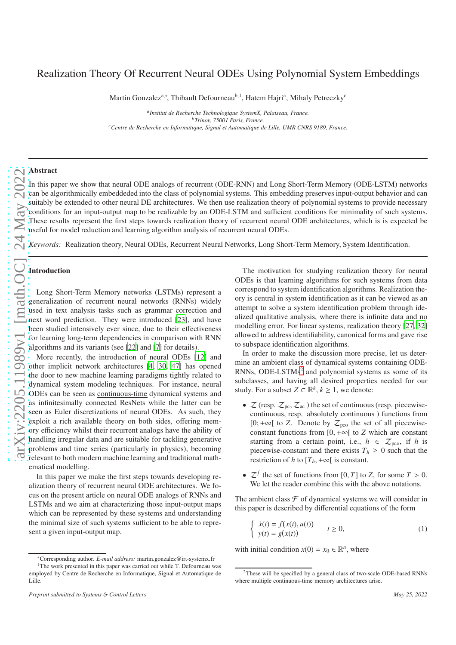# Realization Theory Of Recurrent Neural ODEs Using Polynomial System Embeddings

Martin Gonzalez<sup>a,∗</sup>, Thibault Defourneau<sup>b, 1</sup>, Hatem Hajri<sup>a</sup>, Mihaly Petreczky<sup>c</sup>

*a Institut de Recherche Technologique SystemX, Palaiseau, France. <sup>b</sup>Trinov, 75001 Paris, France. <sup>c</sup>Centre de Recherche en Informatique, Signal et Automatique de Lille, UMR CNRS 9189, France.*

# Abstract

In this paper we show that neural ODE analogs of recurrent (ODE-RNN) and Long Short-Term Memory (ODE-LSTM) networks can be algorithmically embeddeded into the class of polynomial systems. This embedding preserves input-output behavior and can suitably be extended to other neural DE architectures. We then use realization theory of polynomial systems to provide necessary conditions for an input-output map to be realizable by an ODE-LSTM and sufficient conditions for minimality of such systems. These results represent the first steps towards realization theory of recurrent neural ODE architectures, which is is expected be useful for model reduction and learning algorithm analysis of recurrent neural ODEs.

*Keywords:* Realization theory, Neural ODEs, Recurrent Neural Networks, Long Short-Term Memory, System Identification.

## Introduction

Long Short-Term Memory networks (LSTMs) represent a generalization of recurrent neural networks (RNNs) widely used in text analysis tasks such as grammar correction and next word prediction. They were introduced [\[23\]](#page-8-0), and have been studied intensively ever since, due to their effectiveness for learning long-term dependencies in comparison with RNN algorithms and its variants (see [\[22](#page-8-1)] and [\[7](#page-8-2)] for details).

More recently, the introduction of neural ODEs [\[12\]](#page-8-3) and other implicit network architectures [\[4,](#page-8-4) [30,](#page-8-5) [47\]](#page-9-0) has opened the door to new machine learning paradigms tightly related to dynamical system modeling techniques. For instance, neural ODEs can be seen as continuous-time dynamical systems and as infinitesimally connected ResNets while the latter can be seen as Euler discretizations of neural ODEs. As such, they exploit a rich available theory on both sides, offering memory efficiency whilst their recurrent analogs have the ability of handling irregular data and are suitable for tackling generative problems and time series (particularly in physics), becoming relevant to both modern machine learning and traditional mathematical modelling.

In this paper we make the first steps towards developing realization theory of recurrent neural ODE architectures. We focus on the present article on neural ODE analogs of RNNs and LSTMs and we aim at characterizing those input-output maps which can be represented by these systems and understanding the minimal size of such systems sufficient to be able to represent a given input-output map.

The motivation for studying realization theory for neural ODEs is that learning algorithms for such systems from data correspond to system identification algorithms. Realization theory is central in system identification as it can be viewed as an attempt to solve a system identification problem through idealized qualitative analysis, where there is infinite data and no modelling error. For linear systems, realization theory [\[27](#page-8-6), [32\]](#page-8-7) allowed to address identifiability, canonical forms and gave rise to subspace identification algorithms.

In order to make the discussion more precise, let us determine an ambient class of dynamical systems containing ODE-RNNs, ODE-LSTMs<sup>[2](#page-0-0)</sup> and polynomial systems as some of its subclasses, and having all desired properties needed for our study. For a subset  $Z \subset \mathbb{R}^k$ ,  $k \geq 1$ , we denote:

- $\mathcal{Z}$  (resp.  $\mathcal{Z}_{\text{pc}}, \mathcal{Z}_{\text{ac}}$ ) the set of continuous (resp. piecewisecontinuous, resp. absolutely continuous ) functions from [0; +∞[ to *Z*. Denote by  $Z_{\text{pco}}$  the set of all piecewiseconstant functions from  $[0, +\infty[$  to *Z* which are constant starting from a certain point, i.e.,  $h \in \mathcal{Z}_{\text{pco}}$ , if *h* is piecewise-constant and there exists  $T_h \geq 0$  such that the restriction of *h* to  $[T_h, +\infty]$  is constant.
- $\mathcal{Z}^f$  the set of functions from [0, *T*] to *Z*, for some  $T > 0$ . We let the reader combine this with the above notations.

The ambient class  $\mathcal F$  of dynamical systems we will consider in this paper is described by differential equations of the form

$$
\begin{cases}\n\dot{x}(t) = f(x(t), u(t)) \\
y(t) = g(x(t))\n\end{cases} \quad t \ge 0,
$$
\n(1)

with initial condition  $x(0) = x_0 \in \mathbb{R}^n$ , where

<sup>∗</sup>Corresponding author. *E-mail address:* martin.gonzalez@irt-systemx.fr

<sup>&</sup>lt;sup>1</sup>The work presented in this paper was carried out while T. Defourneau was employed by Centre de Recherche en Informatique, Signal et Automatique de Lille.

<span id="page-0-0"></span><sup>&</sup>lt;sup>2</sup>These will be specified by a general class of two-scale ODE-based RNNs where multiple continuous-time memory architectures arise.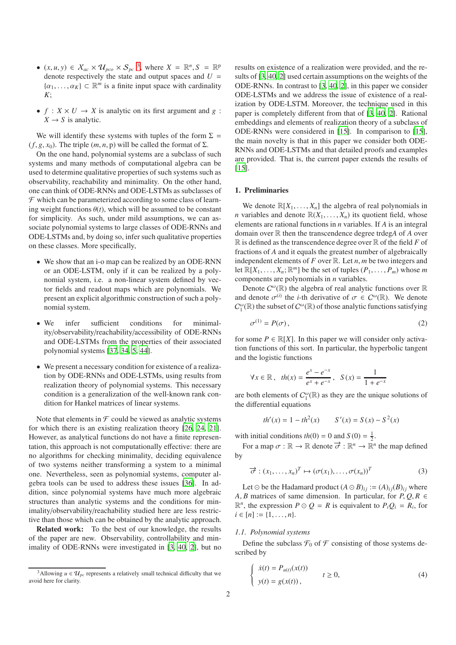- $(x, u, y) \in X_{ac} \times \mathcal{U}_{pco} \times \mathcal{S}_{pc}$ <sup>[3](#page-1-0)</sup>, where  $X = \mathbb{R}^n, S = \mathbb{R}^p$ denote respectively the state and output spaces and  $U =$  $\{\alpha_1, \ldots, \alpha_K\} \subset \mathbb{R}^m$  is a finite input space with cardinality *K*;
- $f: X \times U \rightarrow X$  is analytic on its first argument and  $g: Y \rightarrow Y$  $X \rightarrow S$  is analytic.

We will identify these systems with tuples of the form  $\Sigma =$  $(f, g, x_0)$ . The triple  $(m, n, p)$  will be called the format of  $\Sigma$ .

On the one hand, polynomial systems are a subclass of such systems and many methods of computational algebra can be used to determine qualitative properties of such systems such as observability, reachability and minimality. On the other hand, one can think of ODE-RNNs and ODE-LSTMs as subclasses of  $\mathcal F$  which can be parameterized according to some class of learning weight functions  $\theta(t)$ , which will be assumed to be constant for simplicity. As such, under mild assumptions, we can associate polynomial systems to large classes of ODE-RNNs and ODE-LSTMs and, by doing so, infer such qualitative properties on these classes. More specifically,

- We show that an i-o map can be realized by an ODE-RNN or an ODE-LSTM, only if it can be realized by a polynomial system, i.e. a non-linear system defined by vector fields and readout maps which are polynomials. We present an explicit algorithmic construction of such a polynomial system.
- We infer sufficient conditions for minimality/observability/reachability/accessibility of ODE-RNNs and ODE-LSTMs from the properties of their associated polynomial systems [\[37,](#page-8-8) [34,](#page-8-9) [5,](#page-8-10) [44\]](#page-9-1).
- We present a necessary condition for existence of a realization by ODE-RNNs and ODE-LSTMs, using results from realization theory of polynomial systems. This necessary condition is a generalization of the well-known rank condition for Hankel matrices of linear systems.

Note that elements in  $\mathcal F$  could be viewed as analytic systems for which there is an existing realization theory [\[26,](#page-8-11) [24,](#page-8-12) [21\]](#page-8-13). However, as analytical functions do not have a finite representation, this approach is not computationally effective: there are no algorithms for checking minimality, deciding equivalence of two systems neither transforming a system to a minimal one. Nevertheless, seen as polynomial systems, computer algebra tools can be used to address these issues [\[36\]](#page-8-14). In addition, since polynomial systems have much more algebraic structures than analytic systems and the conditions for minimality/observability/reachability studied here are less restrictive than those which can be obtained by the analytic approach.

Related work: To the best of our knowledge, the results of the paper are new. Observability, controllability and minimality of ODE-RNNs were investigated in [\[3,](#page-8-15) [40](#page-9-2), [2](#page-8-16)], but no results on existence of a realization were provided, and the results of [\[3,](#page-8-15) [40](#page-9-2), [2\]](#page-8-16) used certain assumptions on the weights of the ODE-RNNs. In contrast to [\[3,](#page-8-15) [40,](#page-9-2) [2\]](#page-8-16), in this paper we consider ODE-LSTMs and we address the issue of existence of a realization by ODE-LSTM. Moreover, the technique used in this paper is completely different from that of [\[3,](#page-8-15) [40](#page-9-2), [2\]](#page-8-16). Rational embeddings and elements of realization theory of a subclass of ODE-RNNs were considered in [\[15](#page-8-17)]. In comparison to [\[15\]](#page-8-17), the main novelty is that in this paper we consider both ODE-RNNs and ODE-LSTMs and that detailed proofs and examples are provided. That is, the current paper extends the results of [\[15\]](#page-8-17).

## 1. Preliminaries

We denote  $\mathbb{R}[X_1, \ldots, X_n]$  the algebra of real polynomials in *n* variables and denote  $\mathbb{R}(X_1, \ldots, X_n)$  its quotient field, whose elements are rational functions in *n* variables. If *A* is an integral domain over R then the transcendence degree trdeg*A* of *A* over  $\mathbb R$  is defined as the transcendence degree over  $\mathbb R$  of the field *F* of fractions of *A* and it equals the greatest number of algebraically independent elements of  $F$  over  $\mathbb R$ . Let  $n, m$  be two integers and let  $\mathbb{R}[X_1, \ldots, X_n; \mathbb{R}^m]$  be the set of tuples  $(P_1, \ldots, P_m)$  whose *m* components are polynomials in *n* variables.

Denote  $C^{\omega}(\mathbb{R})$  the algebra of real analytic functions over  $\mathbb{R}$ and denote  $\sigma^{(i)}$  the *i*-th derivative of  $\sigma \in C^{\omega}(\mathbb{R})$ . We denote  $C_1^{\omega}(\mathbb{R})$  the subset of  $C^{\omega}(\mathbb{R})$  of those analytic functions satisfying

$$
\sigma^{(1)} = P(\sigma),\tag{2}
$$

for some  $P \in \mathbb{R}[X]$ . In this paper we will consider only activation functions of this sort. In particular, the hyperbolic tangent and the logistic functions

$$
\forall x \in \mathbb{R}, \ \ th(x) = \frac{e^x - e^{-x}}{e^x + e^{-x}}, \ \ S(x) = \frac{1}{1 + e^{-x}}
$$

are both elements of  $C_1^{\omega}(\mathbb{R})$  as they are the unique solutions of the differential equations

$$
th'(x) = 1 - th^{2}(x) \qquad S'(x) = S(x) - S^{2}(x)
$$

with initial conditions  $th(0) = 0$  and  $S(0) = \frac{1}{2}$ .

For a map  $\sigma : \mathbb{R} \to \mathbb{R}$  denote  $\overrightarrow{\sigma} : \mathbb{R}^n \to \mathbb{R}^n$  the map defined by

$$
\vec{\sigma} : (x_1, \ldots, x_n)^T \mapsto (\sigma(x_1), \ldots, \sigma(x_n))^T
$$
 (3)

Let ⊙ be the Hadamard product  $(A ⊙ B)_{ij} := (A)_{ij}(B)_{ij}$  where *A*, *B* matrices of same dimension. In particular, for  $P$ ,  $Q$ ,  $R \in$  $\mathbb{R}^n$ , the expression  $P \odot Q = R$  is equivalent to  $P_i Q_i = R_i$ , for  $i \in [n] := \{1, \ldots, n\}.$ 

#### *1.1. Polynomial systems*

Define the subclass  $\mathcal{F}_0$  of  $\mathcal F$  consisting of those systems described by

<span id="page-1-1"></span>
$$
\begin{cases}\n\dot{x}(t) = P_{u(t)}(x(t)) & t \ge 0, \\
y(t) = g(x(t)), & t \ge 0,\n\end{cases}
$$
\n(4)

<span id="page-1-0"></span><sup>&</sup>lt;sup>3</sup>Allowing  $u \in \mathcal{U}_{pc}$  represents a relatively small technical difficulty that we avoid here for clarity.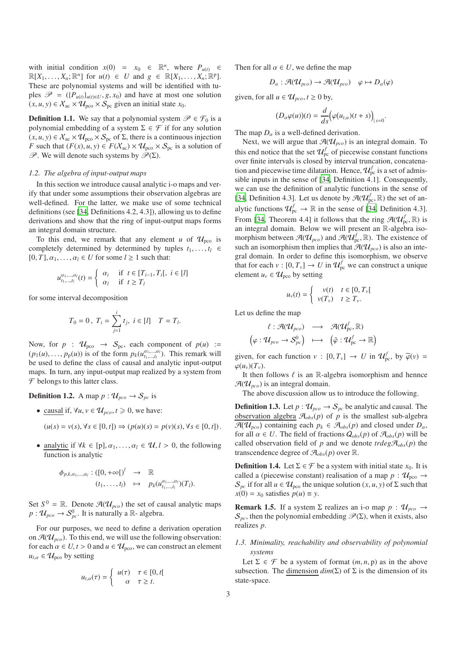with initial condition  $x(0) = x_0 \in \mathbb{R}^n$ , where  $P_{u(t)} \in$  $\mathbb{R}[X_1, \ldots, X_n; \mathbb{R}^n]$  for  $u(t) \in U$  and  $g \in \mathbb{R}[X_1, \ldots, X_n; \mathbb{R}^p]$ . These are polynomial systems and will be identified with tuples  $\mathcal{P} = (\{P_{u(t)}\}_{u(t)\in U}, g, x_0)$  and have at most one solution  $(x, u, y) \in X_{ac} \times U_{pco} \times S_{pc}$  given an initial state  $x_0$ .

**Definition 1.1.** We say that a polynomial system  $\mathcal{P} \in \mathcal{F}_0$  is a polynomial embedding of a system  $\Sigma \in \mathcal{F}$  if for any solution  $(x, u, y) \in X_{ac} \times U_{pco} \times S_{pc}$  of  $\Sigma$ , there is a continuous injection *F* such that  $(F(x), u, y) \in F(X_{ac}) \times U_{pco} \times S_{pc}$  is a solution of  $\mathscr{P}$ . We will denote such systems by  $\mathscr{P}(\Sigma)$ .

#### *1.2. The algebra of input-output maps*

In this section we introduce causal analytic i-o maps and verify that under some assumptions their observation algebras are well-defined. For the latter, we make use of some technical definitions (see [\[34,](#page-8-9) Definitions 4.2, 4.3]), allowing us to define derivations and show that the ring of input-output maps forms an integral domain structure.

To this end, we remark that any element *u* of  $\mathcal{U}_{\text{pco}}$  is completely determined by determined by tuples  $t_1, \ldots, t_l \in$  $[0, T]$ ,  $\alpha_1, \ldots, \alpha_l \in U$  for some  $l \geq 1$  such that:

$$
u_{t_1,\dots,t_l}^{\alpha_1,\dots,\alpha_l}(t) = \begin{cases} \alpha_i & \text{if } t \in [T_{i-1}, T_i[, \ i \in [l] \\ \alpha_l & \text{if } t \ge T_l \end{cases}
$$

for some interval decomposition

$$
T_0 = 0 \, , \, T_i = \sum_{j=1}^i t_j, \, i \in [l] \quad T = T_l.
$$

Now, for  $p : \mathcal{U}_{\text{pco}} \rightarrow S_{\text{pc}}$ , each component of  $p(u) :=$  $(p_1(u), \ldots, p_p(u))$  is of the form  $p_k(u_{t_1,\ldots,t_l}^{a_1,\ldots,a_l})$ . This remark will be used to define the class of causal and analytic input-output maps. In turn, any input-output map realized by a system from  $F$  belongs to this latter class.

**Definition 1.2.** A map  $p : \mathcal{U}_{pco} \to \mathcal{S}_{pc}$  is

• causal if,  $\forall u, v \in \mathcal{U}_{\text{pco}}, t \geq 0$ , we have:

$$
(u(s) = v(s), \forall s \in [0, t]) \Rightarrow (p(u)(s) = p(v)(s), \forall s \in [0, t]).
$$

analytic if  $\forall k \in [p], \alpha_1, \ldots, \alpha_l \in \mathcal{U}, l > 0$ , the following function is analytic

$$
\begin{aligned}\n\phi_{p,k,\alpha_1,\dots,\alpha_l} : ([0,+\infty[)' &\to &\mathbb{R} \\
(t_1,\dots,t_l) &\mapsto &p_k(u^{\alpha_1,\dots,\alpha_l}_{t_1,\dots,t_l})(T_l).\n\end{aligned}
$$

Set  $S^0 = \mathbb{R}$ . Denote  $\mathcal{A}(\mathcal{U}_{pco})$  the set of causal analytic maps  $p: \mathcal{U}_{pco} \to \mathcal{S}_{pc}^0$ . It is naturally a  $\mathbb{R}$ - algebra.

For our purposes, we need to define a derivation operation on  $\mathcal{A}(\mathcal{U}_{pco})$ . To this end, we will use the following observation: for each  $\alpha \in U, t > 0$  and  $u \in U_{\text{pco}}$ , we can construct an element  $u_{t,\alpha} \in \mathcal{U}_{\text{pco}}$  by setting

$$
u_{t,\alpha}(\tau) = \begin{cases} u(\tau) & \tau \in [0, t[\\ \alpha & \tau \geq t. \end{cases}
$$

Then for all  $\alpha \in U$ , we define the map

$$
D_{\alpha} : \mathcal{A}(\mathcal{U}_{pco}) \to \mathcal{A}(\mathcal{U}_{pco}) \quad \varphi \mapsto D_{\alpha}(\varphi)
$$

given, for all  $u \in \mathcal{U}_{nco}, t \geq 0$  by,

$$
(D_{\alpha}\varphi(u))(t)=\frac{d}{ds}\big(\varphi(u_{t,\alpha})(t+s)\big)_{|s=0}.
$$

The map  $D_{\alpha}$  is a well-defined derivation.

Next, we will argue that  $\mathcal{A}(\mathcal{U}_{\text{pco}})$  is an integral domain. To this end notice that the set  $\mathcal{U}_{\text{pc}}^f$  of piecewise constant functions over finite intervals is closed by interval truncation, concatenation and piecewise time dilatation. Hence,  $\mathcal{U}_{\text{pc}}^f$  is a set of admissible inputs in the sense of [\[34,](#page-8-9) Definition 4.1]. Consequently, we can use the definition of analytic functions in the sense of [\[34,](#page-8-9) Definition 4.3]. Let us denote by  $\mathcal{A}(\mathcal{U}_{\text{pc}}^f,\mathbb{R})$  the set of analytic functions  $\mathcal{U}_{\text{pc}}^f \to \mathbb{R}$  in the sense of [\[34](#page-8-9), Definition 4.3]. From [\[34,](#page-8-9) Theorem 4.4] it follows that the ring  $\mathcal{A}(\mathcal{U}_{\text{pc}}^f,\mathbb{R})$  is an integral domain. Below we will present an R-algebra isomorphism between  $\mathcal{A}(\mathcal{U}_{pco})$  and  $\mathcal{A}(\mathcal{U}_{pc}^f,\mathbb{R})$ . The existence of such an isomorphism then implies that  $\mathcal{A}(\mathcal{U}_{\text{pco}})$  is also an integral domain. In order to define this isomorphism, we observe that for each  $v : [0, T_v] \to U$  in  $\mathcal{U}_{pc}^f$  we can construct a unique element  $u_v \in \mathcal{U}_{\text{pco}}$  by setting

$$
u_{\nu}(t) = \begin{cases} \nu(t) & t \in [0, T_{\nu}[\\ \nu(T_{\nu}) & t \geq T_{\nu}. \end{cases}
$$

Let us define the map

$$
\begin{array}{ccc}\n\ell:\mathcal{A}(\mathcal{U}_{pco}) & \longrightarrow & \mathcal{A}(\mathcal{U}_{pc}^f,\mathbb{R}) \\
\left(\varphi:\mathcal{U}_{pco}\rightarrow\mathcal{S}_{pc}^0\right)& \longmapsto & \left(\tilde{\varphi}:\mathcal{U}_{pc}^f\rightarrow\mathbb{R}\right)\n\end{array}
$$

given, for each function  $v : [0, T_v] \to U$  in  $\mathcal{U}_{\text{pc}}^f$ , by  $\widetilde{\varphi}(v) =$  $\varphi(u_v)(T_v)$ .

It then follows  $\ell$  is an R-algebra isomorphism and hennce  $\mathcal{A}(\mathcal{U}_{\text{pco}})$  is an integral domain.

The above discussion allow us to introduce the following.

**Definition 1.3.** Let  $p: \mathcal{U}_{pco} \to \mathcal{S}_{pc}$  be analytic and causal. The observation algebra  $\mathcal{A}_{obs}(p)$  of p is the smallest sub-algebra  $\mathcal{A}(\mathcal{U}_{pco})$  containing each  $p_k \in \mathcal{A}_{obs}(p)$  and closed under  $D_{\alpha}$ , for all  $\alpha \in U$ . The field of fractions  $Q_{obs}(p)$  of  $\mathcal{A}_{obs}(p)$  will be called observation field of *p* and we denote  $trdeg \mathcal{A}_{obs}(p)$  the transcendence degree of  $\mathcal{A}_{obs}(p)$  over  $\mathbb{R}$ .

**Definition 1.4.** Let  $\Sigma \in \mathcal{F}$  be a system with initial state  $x_0$ . It is called a (piecewise constant) realisation of a map  $p : \mathcal{U}_{\text{pco}} \rightarrow$  $S_{pc}$  if for all  $u \in \mathcal{U}_{\text{pco}}$  the unique solution  $(x, u, y)$  of  $\Sigma$  such that  $x(0) = x_0$  satisfies  $p(u) \equiv y$ .

**Remark 1.5.** If a system  $\Sigma$  realizes an i-o map  $p : \mathcal{U}_{nco} \rightarrow$  $S_{pc}$ , then the polynomial embedding  $\mathcal{P}(\Sigma)$ , when it exists, also realizes *p*.

# *1.3. Minimality, reachability and observability of polynomial systems*

Let  $\Sigma \in \mathcal{F}$  be a system of format  $(m, n, p)$  as in the above subsection. The dimension  $dim(\Sigma)$  of  $\Sigma$  is the dimension of its state-space.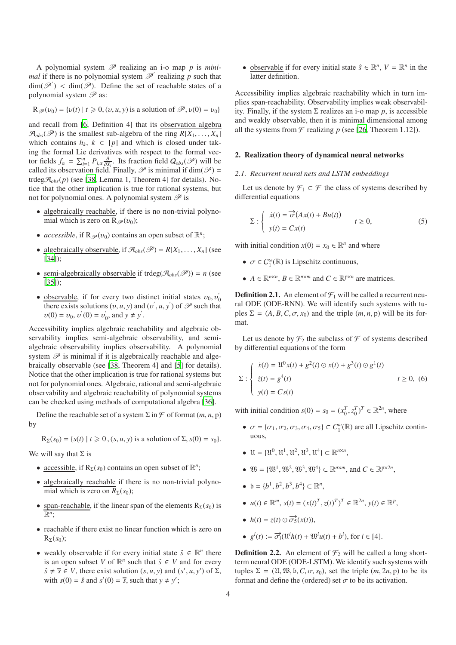A polynomial system  $\mathscr P$  realizing an i-o map p is mini*mal* if there is no polynomial system  $\mathcal{P}'$  realizing p such that  $\dim(\mathscr{P}')$  <  $\dim(\mathscr{P})$ . Define the set of reachable states of a polynomial system  $\mathscr P$  as:

$$
\mathbf{R}_{\mathcal{P}}(v_0) = \{v(t) \mid t \geq 0, (v, u, y) \text{ is a solution of } \mathcal{P}, v(0) = v_0\}
$$

and recall from [\[6,](#page-8-18) Definition 4] that its observation algebra  $\mathcal{A}_{obs}(\mathcal{P})$  is the smallest sub-algebra of the ring  $R[X_1, \ldots, X_n]$ which contains  $h_k$ ,  $k \in [p]$  and which is closed under taking the formal Lie derivatives with respect to the formal vector fields  $f_{\alpha} = \sum_{i=1}^{n} P_{i,\alpha} \frac{\partial}{\partial X_i}$ . Its fraction field  $Q_{obs}(\mathscr{P})$  will be called its observation field. Finally,  $\mathscr P$  is minimal if dim( $\mathscr P$ ) = trdeg $\mathcal{A}_{obs}(p)$  (see [\[38,](#page-8-19) Lemma 1, Theorem 4] for details). Notice that the other implication is true for rational systems, but not for polynomial ones. A polynomial system  $\mathscr P$  is

- algebraically reachable, if there is no non-trivial polynomial which is zero on  $\mathbb{R}_{\mathscr{P}}(v_0)$ ;
- *accessible*, if  $\mathbb{R}_{\mathscr{P}}(v_0)$  contains an open subset of  $\mathbb{R}^n$ ;
- algebraically observable, if  $\mathcal{A}_{obs}(\mathcal{P}) = R[X_1, \ldots, X_n]$  (see [\[34\]](#page-8-9));
- semi-algebraically observable if  $trdeg(\mathcal{A}_{obs}(\mathcal{P})) = n$  (see [\[35\]](#page-8-20));
- observable, if for every two distinct initial states  $v_0, v_0'$  $\mathbf{0}$ there exists solutions  $(v, u, y)$  and  $(v', u, y')$  of  $\mathscr P$  such that  $v(0) = v_0, v^{'}(0) = v_0^{'}$  $y'$ , and  $y \neq y'$ .

Accessibility implies algebraic reachability and algebraic observability implies semi-algebraic observability, and semialgebraic observability implies observability. A polynomial system  $\mathscr P$  is minimal if it is algebraically reachable and algebraically observable (see [\[38,](#page-8-19) Theorem 4] and [\[5\]](#page-8-10) for details). Notice that the other implication is true for rational systems but not for polynomial ones. Algebraic, rational and semi-algebraic observability and algebraic reachability of polynomial systems can be checked using methods of computational algebra [\[36\]](#page-8-14).

Define the reachable set of a system  $\Sigma$  in  $\mathcal F$  of format  $(m, n, p)$ by

 $R_{\Sigma}(s_0) = \{s(t) | t \geq 0, (s, u, y) \text{ is a solution of } \Sigma, s(0) = s_0\}.$ 

We will say that  $\Sigma$  is

- <u>accessible</u>, if  $R_{\Sigma}(s_0)$  contains an open subset of  $\mathbb{R}^n$ ;
- algebraically reachable if there is no non-trivial polynomial which is zero on  $R_{\Sigma}(s_0)$ ;
- span-reachable, if the linear span of the elements  $R_{\Sigma}(s_0)$  is  $\overline{\mathbb{R}^n}$
- reachable if there exist no linear function which is zero on  $R_{\Sigma}(s_0);$
- weakly observable if for every initial state  $\hat{s} \in \mathbb{R}^n$  there is an open subset *V* of  $\mathbb{R}^n$  such that  $\hat{s} \in V$  and for every  $\hat{s} \neq \overline{s} \in V$ , there exist solution  $(s, u, y)$  and  $(s', u, y')$  of  $\Sigma$ , with  $s(0) = \hat{s}$  and  $s'(0) = \overline{s}$ , such that  $y \neq y'$ ;

• observable if for every initial state  $\hat{s} \in \mathbb{R}^n$ ,  $V = \mathbb{R}^n$  in the latter definition.

Accessibility implies algebraic reachability which in turn implies span-reachability. Observability implies weak observability. Finally, if the system  $\Sigma$  realizes an i-o map p, is accessible and weakly observable, then it is minimal dimensional among all the systems from  $\mathcal F$  realizing p (see [\[26,](#page-8-11) Theorem 1.12]).

#### 2. Realization theory of dynamical neural networks

#### *2.1. Recurrent neural nets and LSTM embeddings*

Let us denote by  $\mathcal{F}_1 \subset \mathcal{F}$  the class of systems described by differential equations

$$
\Sigma: \begin{cases} \dot{x}(t) = \overrightarrow{\sigma}(Ax(t) + Bu(t)) \\ y(t) = Cx(t) \end{cases} \qquad t \ge 0,
$$
 (5)

with initial condition  $x(0) = x_0 \in \mathbb{R}^n$  and where

- $\sigma \in C_1^{\omega}(\mathbb{R})$  is Lipschitz continuous,
- $A \in \mathbb{R}^{n \times n}$ ,  $B \in \mathbb{R}^{n \times m}$  and  $C \in \mathbb{R}^{p \times n}$  are matrices.

**Definition 2.1.** An element of  $\mathcal{F}_1$  will be called a recurrent neural ODE (ODE-RNN). We will identify such systems with tuples  $\Sigma = (A, B, C, \sigma, x_0)$  and the triple  $(m, n, p)$  will be its format.

Let us denote by  $\mathcal{F}_2$  the subclass of  $\mathcal F$  of systems described by differential equations of the form

<span id="page-3-0"></span>
$$
\Sigma: \begin{cases} \dot{x}(t) = \mathfrak{U}^{0}x(t) + g^{2}(t) \odot x(t) + g^{3}(t) \odot g^{1}(t) \\ \dot{z}(t) = g^{4}(t) \\ y(t) = Cs(t) \end{cases} \quad t \ge 0, \tag{6}
$$

with initial condition  $s(0) = s_0 = (x_0^T, z_0^T)^T \in \mathbb{R}^{2n}$ , where

- $\sigma = {\sigma_1, \sigma_2, \sigma_3, \sigma_4, \sigma_5} \subset C_1^{\omega}(\mathbb{R})$  are all Lipschitz continuous,
- $U = \{U^0, U^1, U^2, U^3, U^4\} \subset \mathbb{R}^{n \times n}$ ,
- $\mathfrak{W} = {\mathfrak{W}^1, \mathfrak{W}^2, \mathfrak{W}^3, \mathfrak{W}^4} \subset \mathbb{R}^{n \times m}$ , and  $C \in \mathbb{R}^{p \times 2n}$ ,
- $b = \{b^1, b^2, b^3, b^4\} \subset \mathbb{R}^n$ ,
- $u(t) \in \mathbb{R}^m$ ,  $s(t) = (x(t)^T, z(t)^T)^T \in \mathbb{R}^{2n}$ ,  $y(t) \in \mathbb{R}^p$ ,
- $h(t) = z(t) \odot \overrightarrow{\sigma_5}(x(t)),$
- $g^{i}(t) := \overrightarrow{\sigma_i}(\mathfrak{U}^{i}h(t) + \mathfrak{W}^{i}u(t) + b^{i}),$  for  $i \in [4]$ .

**Definition 2.2.** An element of  $\mathcal{F}_2$  will be called a long shortterm neural ODE (ODE-LSTM). We identify such systems with tuples  $\Sigma = (U, \mathfrak{W}, \mathfrak{b}, C, \sigma, s_0)$ , set the triple  $(m, 2n, p)$  to be its format and define the (ordered) set  $\sigma$  to be its activation.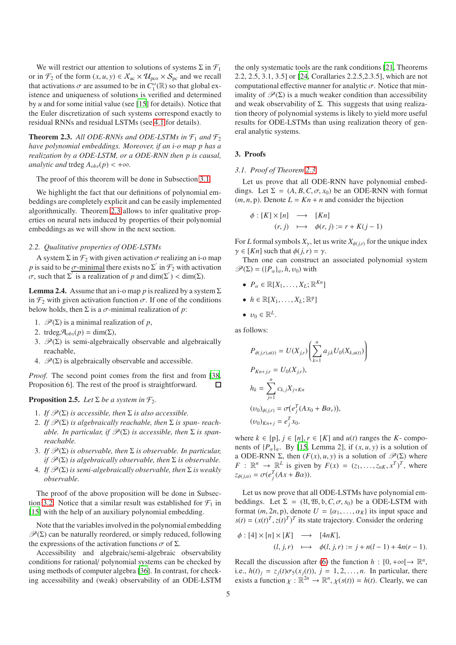We will restrict our attention to solutions of systems  $\Sigma$  in  $\mathcal{F}_1$ or in  $\mathcal{F}_2$  of the form  $(x, u, y) \in \mathcal{X}_{ac} \times \mathcal{U}_{pco} \times \mathcal{S}_{pc}$  and we recall that activations  $\sigma$  are assumed to be in  $C_1^{\omega}(\mathbb{R})$  so that global existence and uniqueness of solutions is verified and determined by *u* and for some initial value (see [\[15\]](#page-8-17) for details). Notice that the Euler discretization of such systems correspond exactly to residual RNNs and residual LSTMs (see [4.1](#page-6-0) for details).

<span id="page-4-1"></span>**Theorem 2.3.** All ODE-RNNs and ODE-LSTMs in  $\mathcal{F}_1$  and  $\mathcal{F}_2$ *have polynomial embeddings. Moreover, if an i-o map p has a realization by a ODE-LSTM, or a ODE-RNN then p is causal, analytic and* trdeg  $A_{obs}(p) < +\infty$ *.* 

The proof of this theorem will be done in Subsection [3.1.](#page-4-0)

We highlight the fact that our definitions of polynomial embeddings are completely explicit and can be easily implemented algorithmically. Theorem [2.3](#page-4-1) allows to infer qualitative properties on neural nets induced by properties of their polynomial embeddings as we will show in the next section.

#### *2.2. Qualitative properties of ODE-LSTMs*

A system  $\Sigma$  in  $\mathcal{F}_2$  with given activation  $\sigma$  realizing an i-o map *p* is said to be <u> $\sigma$ -minimal</u> there exists no  $\Sigma'$  in  $\mathcal{F}_2$  with activation  $\sigma$ , such that  $\Sigma$ <sup>*i*</sup> is a realization of *p* and dim( $\Sigma$ <sup>*'*</sup>) < dim( $\Sigma$ ).

**Lemma 2.4.** Assume that an i-o map *p* is realized by a system  $\Sigma$ in  $\mathcal{F}_2$  with given activation function  $\sigma$ . If one of the conditions below holds, then  $\Sigma$  is a  $\sigma$ -minimal realization of  $p$ :

- 1.  $\mathcal{P}(\Sigma)$  is a minimal realization of *p*,
- 2. trdeg $\mathcal{A}_{obs}(p) = \dim(\Sigma)$ ,
- 3.  $\mathcal{P}(\Sigma)$  is semi-algebraically observable and algebraically reachable,
- 4.  $\mathcal{P}(\Sigma)$  is algebraically observable and accessible.

*Proof.* The second point comes from the first and from [\[38](#page-8-19), Proposition 6]. The rest of the proof is straightforward.  $\Box$ 

# <span id="page-4-2"></span>**Proposition 2.5.** *Let*  $\Sigma$  *be a system in*  $\mathcal{F}_2$ *.*

- 1. *If*  $\mathcal{P}(\Sigma)$  *is accessible, then*  $\Sigma$  *is also accessible.*
- 2. If  $\mathcal{P}(\Sigma)$  *is algebraically reachable, then*  $\Sigma$  *is span-reachable. In particular, if*  $\mathscr{P}(\Sigma)$  *is accessible, then*  $\Sigma$  *is spanreachable.*
- 3. *If*  $\mathcal{P}(\Sigma)$  *is observable, then*  $\Sigma$  *is observable. In particular, if*  $\mathcal{P}(\Sigma)$  *is algebraically observable, then*  $\Sigma$  *is observable.*
- 4. *If*  $\mathcal{P}(\Sigma)$  *is semi-algebraically observable, then*  $\Sigma$  *is weakly observable.*

The proof of the above proposition will be done in Subsec-tion [3.2.](#page-6-1) Notice that a similar result was established for  $\mathcal{F}_1$  in [\[15\]](#page-8-17) with the help of an auxiliary polynomial embedding.

Note that the variables involved in the polynomial embedding  $\mathcal{P}(\Sigma)$  can be naturally reordered, or simply reduced, following the expressions of the activation functions  $\sigma$  of  $\Sigma$ .

Accessibility and algebraic/semi-algebraic observability conditions for rational/ polynomial systems can be checked by using methods of computer algebra [\[36\]](#page-8-14). In contrast, for checking accessibility and (weak) observability of an ODE-LSTM

the only systematic tools are the rank conditions [\[21](#page-8-13), Theorems 2.2, 2.5, 3.1, 3.5] or [\[24,](#page-8-12) Corallaries 2.2.5,2.3.5], which are not computational effective manner for analytic  $\sigma$ . Notice that minimality of  $\mathcal{P}(\Sigma)$  is a much weaker condition than accessibility and weak observability of  $\Sigma$ . This suggests that using realization theory of polynomial systems is likely to yield more useful results for ODE-LSTMs than using realization theory of general analytic systems.

### <span id="page-4-0"></span>3. Proofs

#### *3.1. Proof of Theorem [2.3](#page-4-1)*

Let us prove that all ODE-RNN have polynomial embeddings. Let  $\Sigma = (A, B, C, \sigma, x_0)$  be an ODE-RNN with format  $(m, n, p)$ . Denote  $L = Kn + n$  and consider the bijection

$$
\begin{array}{rcl}\n\phi: [K] \times [n] & \longrightarrow & [Kn] \\
(r, j) & \longmapsto & \phi(r, j) := r + K(j - 1)\n\end{array}
$$

For *L* formal symbols  $X_{\gamma}$ , let us write  $X_{\phi(i,r)}$  for the unique index  $\gamma \in [Kn]$  such that  $\phi(j, r) = \gamma$ .

Then one can construct an associated polynomial system  $\mathscr{P}(\Sigma) = (\{P_{\alpha}\}_\alpha, h, \nu_0)$  with

$$
\bullet \ \ P_{\alpha} \in \mathbb{R}[X_1,\ldots,X_L;\mathbb{R}^{Kn}]
$$

- $h \in \mathbb{R}[X_1, \ldots, X_L; \mathbb{R}^p]$
- $\bullet\;\;v_0\in\mathbb{R}^L.$

as follows:

$$
P_{\phi(j,r),u(t)} = U(X_{j,r}) \left( \sum_{k=1}^{n} a_{j,k} U_0(X_{k,u(t)}) \right)
$$
  
\n
$$
P_{Kn+j,r} = U_0(X_{j,r}),
$$
  
\n
$$
h_k = \sum_{j=1}^{n} c_{k,j} X_{j+Kn}
$$
  
\n
$$
(v_0)_{\phi(j,r)} = \sigma(e_j^T (Ax_0 + B\alpha_r)),
$$
  
\n
$$
(v_0)_{Kn+j} = e_j^T x_0.
$$

where  $k \in [p], j \in [n], r \in [K]$  and  $u(t)$  ranges the *K*- components of  $\{P_{\alpha}\}_\alpha$ . By [\[15,](#page-8-17) Lemma 2], if  $(x, u, y)$  is a solution of a ODE-RNN  $\Sigma$ , then  $(F(x), u, y)$  is a solution of  $\mathcal{P}(\Sigma)$  where *F* :  $\mathbb{R}^n \to \mathbb{R}^L$  is given by  $F(x) = (z_1, \ldots, z_{nK}, x^T)^T$ , where  $z_{\phi(j,\alpha)} = \sigma(e_j^T(Ax + B\alpha)).$ 

Let us now prove that all ODE-LSTMs have polynomial embeddings. Let  $\Sigma = (U, \mathfrak{W}, \mathfrak{b}, C, \sigma, s_0)$  be a ODE-LSTM with format  $(m, 2n, p)$ , denote  $U = \{\alpha_1, \dots, \alpha_K\}$  its input space and  $s(t) = (x(t)^T, z(t)^T)^T$  its state trajectory. Consider the ordering

$$
\begin{array}{rcl}\n\phi: [4] \times [n] \times [K] & \longrightarrow & [4nK], \\
(l, j, r) & \longmapsto & \phi(l, j, r) := j + n(l - 1) + 4n(r - 1).\n\end{array}
$$

Recall the discussion after [\(6\)](#page-3-0) the function  $h : [0, +\infty[ \rightarrow \mathbb{R}^n,$ i.e.,  $h(t)$ <sub>*j*</sub> =  $z_j(t)\sigma_5(x_j(t))$ , *j* = 1, 2, ..., *n*. In particular, there exists a function  $\chi : \mathbb{R}^{2n} \to \mathbb{R}^n$ ,  $\chi(s(t)) = h(t)$ . Clearly, we can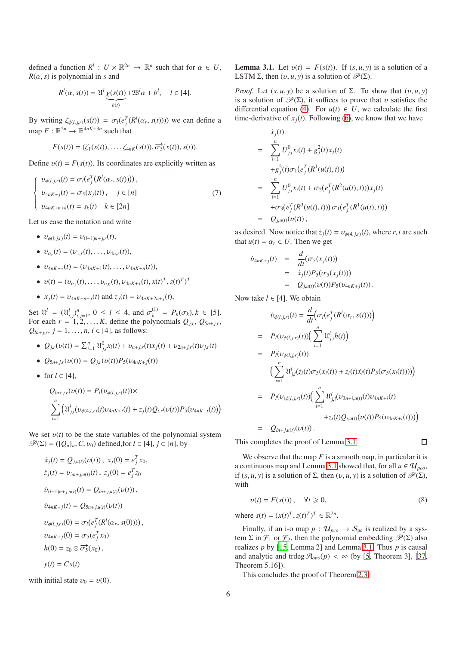defined a function  $R^l: U \times \mathbb{R}^{2n} \to \mathbb{R}^n$  such that for  $\alpha \in U$ ,  $R(\alpha, s)$  is polynomial in *s* and

$$
R^{l}(\alpha, s(t)) = \mathfrak{U}^{l} \underbrace{\chi(s(t))}_{h(t)} + \mathfrak{W}^{l} \alpha + b^{l}, \quad l \in [4].
$$

By writing  $\zeta_{\phi(l,j,r)}(s(t)) = \sigma_l(e_j^T(R^l(\alpha_r, s(t))))$  we can define a map  $F: \mathbb{R}^{2n} \to \mathbb{R}^{4nK+3n}$  such that

$$
F(s(t)) = (\zeta_1(s(t)), \ldots, \zeta_{4nK}(s(t)), \overrightarrow{\sigma_5}(x(t)), s(t)).
$$

Define  $v(t) = F(s(t))$ . Its coordinates are explicitly written as

$$
\nu_{\phi(l,j,r)}(t) = \sigma_l(e_j^T(R^l(\alpha_r, s(t))))
$$
\n
$$
\nu_{4nK+j}(t) = \sigma_5(x_j(t)), \quad j \in [n]
$$
\n
$$
\nu_{4nK+n+k}(t) = s_k(t) \quad k \in [2n]
$$
\n
$$
(7)
$$

Let us ease the notation and write

•  $v_{\phi(l,j,r)}(t) = v_{(l-1)n+j,r}(t),$ 

 $\sqrt{ }$  $\Big\}$  $\overline{\mathcal{L}}$ 

- $v_{\alpha_r}(t) = (v_{1,r}(t), \ldots, v_{4n,r}(t)),$
- υ4*nK*+<sup>∗</sup>(*t*) = (υ4*nK*+1(*t*), . . . , υ4*nK*+*n*(*t*)),
- $v(t) = (v_{\alpha_1}(t), \dots, v_{\alpha_K}(t), v_{4nK+\ast}(t), x(t)^T, z(t)^T)^T$
- $x_j(t) = v_{4nK+n+j}(t)$  and  $z_j(t) = v_{4nK+2n+j}(t)$ ,

Set  $\mathfrak{U}^l = (\mathfrak{U}^l_{i,j})^n_{i,j=1}, 0 \le l \le 4$ , and  $\sigma_k^{(1)}$  $P_k^{(1)} = P_k(\sigma_k), k \in [5].$ For each  $r = 1, 2, \ldots, K$ , define the polynomials  $Q_{j,r}, Q_{5n+j,r}$ ,  $Q_{ln+j,r}, j = 1, ..., n, l \in [4]$ , as follows:

- $Q_{j,r}(v(t)) = \sum_{i=1}^{n} \mathfrak{U}_{j,i}^{0} x_i(t) + v_{n+j,r}(t)x_j(t) + v_{2n+j,r}(t)v_{j,r}(t)$
- $Q_{5n+if}(v(t)) = Q_{if}(v(t))P_5(v_{4nK+i}(t))$
- for  $l \in [4]$ ,

$$
Q_{ln+j,r}(v(t)) = P_l(v_{\phi(l,j,r)}(t)) \times
$$
  

$$
\sum_{i=1}^n \left( \mathfrak{U}_{j,i}^l(v_{\phi(4,i,r)}(t)v_{4nK+i}(t) + z_j(t)Q_{i,r}(v(t))P_5(v_{4nK+i}(t)) \right)
$$

We set  $v(t)$  to be the state variables of the polynomial system  $\mathscr{P}(\Sigma) = (\{Q_u\}_u, C, \nu_0)$  defined, for  $l \in [4]$ ,  $j \in [n]$ , by

$$
\dot{x}_j(t) = Q_{j,u(t)}(v(t)), \ x_j(0) = e_j^T x_0,
$$
  
\n
$$
\dot{z}_j(t) = v_{3n+j,u(t)}(t), \ z_j(0) = e_j^T z_0
$$
  
\n
$$
\dot{v}_{(l-1)n+j,u(t)}(t) = Q_{ln+j,u(t)}(v(t)),
$$
  
\n
$$
\dot{v}_{4nK+j}(t) = Q_{5n+j,u(t)}(v(t))
$$
  
\n
$$
v_{\phi(l,j,r)}(0) = \sigma_l(e_j^T(R^l(\alpha_r, s(0))))
$$
  
\n
$$
v_{4nK+j}(0) = \sigma_5(e_j^T x_0)
$$
  
\n
$$
h(0) = z_0 \odot \overrightarrow{\sigma}_5^2(x_0),
$$
  
\n
$$
y(t) = Cs(t)
$$

<span id="page-5-0"></span>with initial state  $v_0 = v(0)$ .

**Lemma 3.1.** Let  $v(t) = F(s(t))$ . If  $(s, u, y)$  is a solution of a LSTM  $\Sigma$ , then  $(v, u, y)$  is a solution of  $\mathcal{P}(\Sigma)$ .

*Proof.* Let  $(s, u, y)$  be a solution of Σ. To show that  $(v, u, y)$ is a solution of  $\mathscr{P}(\Sigma)$ , it suffices to prove that *v* satisfies the differential equation [\(4\)](#page-1-1). For  $u(t) \in U$ , we calculate the first time-derivative of  $x_i(t)$ . Following [\(6\)](#page-3-0), we know that we have

<span id="page-5-1"></span>
$$
\dot{x}_j(t) = \sum_{i=1}^n U_{j,i}^0 x_i(t) + g_j^2(t) x_j(t)
$$
\n
$$
+ g_j^2(t) \sigma_1(e_j^T(R^1(u(t), t)))
$$
\n
$$
= \sum_{i=1}^n U_{j,i}^0 x_i(t) + \sigma_2(e_j^T(R^2(u(t), t))) x_j(t)
$$
\n
$$
+ \sigma_3(e_j^T(R^3(u(t), t))) \sigma_1(e_j^T(R^1(u(t), t)))
$$
\n
$$
= Q_{j,u(t)}(v(t)),
$$

as desired. Now notice that  $\dot{z}_i(t) = v_{\phi(4, j, r)}(t)$ , where *r*, *t* are such that  $u(t) = \alpha_r \in U$ . Then we get

$$
\dot{v}_{4nK+j}(t) = \frac{d}{dt}(\sigma_5(x_j(t)))
$$
  
=  $\dot{x}_j(t)P_5(\sigma_5(x_j(t)))$   
=  $Q_{j,u(t)}(v(t))P_5(v_{4nK+j}(t)).$ 

Now take  $l \in [4]$ . We obtain

$$
\dot{v}_{\phi(l,j,r)}(t) = \frac{d}{dt} \Big( \sigma_l(e_j^T(R^l(\alpha_r, s(t))) \Big) \n= P_l(v_{\phi(l,j,r)}(t)) \Big( \sum_{i=1}^n \mathfrak{U}_{j,i}^l \dot{h}(t) \Big) \n= P_l(v_{\phi(l,j,r)}(t)) \Big( \sum_{i=1}^n \mathfrak{U}_{j,i}^l(\dot{z}_i(t)\sigma_5(x_i(t)) + z_i(t)\dot{x}_i(t)P_5(\sigma_5(x_i(t)))) \Big) \n= P_l(v_{(\phi(l,j,r)}(t)) \Big( \sum_{i=1}^n \mathfrak{U}_{j,i}^l(v_{3n+i,u(t)}(t)v_{4nK+i}(t) + z_i(t)Q_{i,u(t)}(v(t))P_5(v_{4nK+i}(t))) \Big) \n= Q_{ln+j,u(t)}(v(t)).
$$

This completes the proof of Lemma [3.1.](#page-5-0)

We observe that the map  $F$  is a smooth map, in particular it is a continuous map and Lemma [3.1](#page-5-0) showed that, for all  $u \in \mathcal{U}_{\text{pco}}$ , if  $(s, u, y)$  is a solution of Σ, then  $(v, u, y)$  is a solution of  $\mathcal{P}(\Sigma)$ , with

$$
v(t) = F(s(t)), \quad \forall t \geq 0,
$$
\n(8)

 $\Box$ 

where  $s(t) = (x(t)^T, z(t)^T)^T \in \mathbb{R}^{2n}$ .

Finally, if an i-o map  $p$  :  $\mathcal{U}_{pco} \rightarrow \mathcal{S}_{pc}$  is realized by a system  $\Sigma$  in  $\mathcal{F}_1$  or  $\mathcal{F}_2$ , then the polynomial embedding  $\mathscr{P}(\Sigma)$  also realizes *p* by [\[15](#page-8-17), Lemma 2] and Lemma [3.1.](#page-5-0) Thus *p* is causal and analytic and trdeg  $\mathcal{A}_{obs}(p) < \infty$  (by [\[5](#page-8-10), Theorem 3], [\[37](#page-8-8), Theorem 5.16]).

This concludes the proof of Theorem [2.3.](#page-4-1)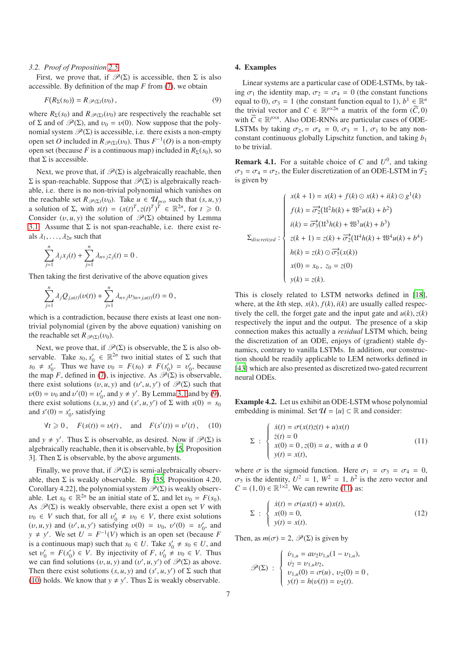#### <span id="page-6-1"></span>*3.2. Proof of Proposition [2.5](#page-4-2)*

First, we prove that, if  $\mathcal{P}(\Sigma)$  is accessible, then  $\Sigma$  is also accessible. By definition of the map *F* from [\(7\)](#page-5-1), we obtain

$$
F(R_{\Sigma}(s_0)) = R_{\mathscr{P}(\Sigma)}(\nu_0), \qquad (9)
$$

where  $R_{\Sigma}(s_0)$  and  $R_{\mathscr{P}(\Sigma)}(v_0)$  are respectively the reachable set of  $\Sigma$  and of  $\mathscr{P}(\Sigma)$ , and  $v_0 = v(0)$ . Now suppose that the polynomial system  $\mathcal{P}(\Sigma)$  is accessible, i.e. there exists a non-empty open set *O* included in  $R_{\mathscr{P}(\Sigma)}(v_0)$ . Thus  $F^{-1}(O)$  is a non-empty open set (because *F* is a continuous map) included in  $R_{\Sigma}(s_0)$ , so that  $\Sigma$  is accessible.

Next, we prove that, if  $\mathcal{P}(\Sigma)$  is algebraically reachable, then Σ is span-reachable. Suppose that  $\mathcal{P}(\Sigma)$  is algebraically reachable, i.e. there is no non-trivial polynomial which vanishes on the reachable set  $R_{\mathscr{P}(\Sigma)}(v_0)$ . Take  $u \in \mathcal{U}_{\text{pco}}$  such that  $(s, u, y)$ a solution of  $\Sigma$ , with  $s(t) = (x(t)^T, z(t)^T)^T \in \mathbb{R}^{2n}$ , for  $t \ge 0$ . Consider  $(v, u, y)$  the solution of  $\mathcal{P}(\Sigma)$  obtained by Lemma [3.1.](#page-5-0) Assume that  $\Sigma$  is not span-reachable, i.e. there exist reals  $\lambda_1, \ldots, \lambda_{2n}$  such that

$$
\sum_{j=1}^n \lambda_j x_j(t) + \sum_{j=1}^n \lambda_{n+j} z_j(t) = 0.
$$

Then taking the first derivative of the above equation gives

$$
\sum_{j=1}^n \lambda_j Q_{j,u(t)}(\nu(t)) + \sum_{j=1}^n \lambda_{n+j} \nu_{3n+j,u(t)}(t) = 0,
$$

which is a contradiction, because there exists at least one nontrivial polynomial (given by the above equation) vanishing on the reachable set  $R \mathcal{P}(\Sigma)(v_0)$ .

Next, we prove that, if  $\mathcal{P}(\Sigma)$  is observable, the  $\Sigma$  is also observable. Take  $s_0, s'_0 \in \mathbb{R}^{2n}$  two initial states of  $\Sigma$  such that  $s_0 \neq s'_0$ . Thus we have  $v_0 = F(s_0) \neq F(s'_0) = v'_0$ , because the map *F*, defined in [\(7\)](#page-5-1), is injective. As  $\mathcal{P}(\Sigma)$  is observable, there exist solutions  $(v, u, y)$  and  $(v', u, y')$  of  $\mathcal{P}(\Sigma)$  such that  $v(0) = v_0$  and  $v'(0) = v'_0$ , and  $y \neq y'$ . By Lemma [3.1](#page-5-0) and by [\(9\)](#page-6-2), there exist solutions  $(s, u, y)$  and  $(s', u, y')$  of  $\Sigma$  with  $s(0) = s_0$ and  $s'(0) = s'_0$ , satisfying

<span id="page-6-3"></span>
$$
\forall t \ge 0
$$
,  $F(s(t)) = v(t)$ , and  $F(s'(t)) = v'(t)$ , (10)

and  $y \neq y'$ . Thus  $\Sigma$  is observable, as desired. Now if  $\mathcal{P}(\Sigma)$  is algebraically reachable, then it is observable, by [\[5,](#page-8-10) Proposition 3]. Then  $\Sigma$  is observable, by the above arguments.

Finally, we prove that, if  $\mathcal{P}(\Sigma)$  is semi-algebraically observable, then  $\Sigma$  is weakly observable. By [\[35,](#page-8-20) Proposition 4.20, Corollary 4.22], the polynomial system  $\mathcal{P}(\Sigma)$  is weakly observable. Let  $s_0 \in \mathbb{R}^{2n}$  be an initial state of  $\Sigma$ , and let  $v_0 = F(s_0)$ . As  $\mathscr{P}(\Sigma)$  is weakly observable, there exist a open set *V* with  $v_0 \in V$  such that, for all  $v'_0 \neq v_0 \in V$ , there exist solutions (*v*, *u*, *y*) and (*v'*, *u*, *y'*) satisfying  $v(0) = v_0$ ,  $v'(0) = v'_0$ , and  $y \neq y'$ . We set  $U = F^{-1}(V)$  which is an open set (because *F* is a continuous map) such that  $s_0 \in U$ . Take  $s'_0 \neq s_0 \in U$ , and set  $v'_0 = F(s'_0) \in V$ . By injectivity of  $F, v'_0 \neq v_0 \in V$ . Thus we can find solutions  $(v, u, y)$  and  $(v', u, y')$  of  $\mathcal{P}(\Sigma)$  as above. Then there exist solutions  $(s, u, y)$  and  $(s', u, y')$  of  $\Sigma$  such that [\(10\)](#page-6-3) holds. We know that  $y \neq y'$ . Thus  $\Sigma$  is weakly observable.

#### 4. Examples

<span id="page-6-2"></span>Linear systems are a particular case of ODE-LSTMs, by taking  $\sigma_1$  the identity map,  $\sigma_2 = \sigma_4 = 0$  (the constant functions equal to 0),  $\sigma_3 = 1$  (the constant function equal to 1),  $b^1 \in \mathbb{R}^n$ the trivial vector and  $C \in \mathbb{R}^{p \times 2n}$  a matrix of the form  $(\widetilde{C}, 0)$ with  $\widetilde{C} \in \mathbb{R}^{p \times n}$ . Also ODE-RNNs are particular cases of ODE-LSTMs by taking  $\sigma_2 = \sigma_4 = 0$ ,  $\sigma_3 = 1$ ,  $\sigma_1$  to be any nonconstant continuous globally Lipschitz function, and taking *b*<sup>1</sup> to be trivial.

<span id="page-6-0"></span>**Remark 4.1.** For a suitable choice of C and  $U^0$ , and taking  $\sigma_3 = \sigma_4 = \sigma_2$ , the Euler discretization of an ODE-LSTM in  $\mathcal{F}_2$ is given by

$$
\Sigma_{discretized} : \begin{cases} x(k+1) = x(k) + f(k) \odot x(k) + i(k) \odot g^1(k) \\ f(k) = \overline{\sigma}_2^2(\mathfrak{U}^2 h(k) + \mathfrak{W}^2 u(k) + b^2) \\ i(k) = \overline{\sigma}_3^2(\mathfrak{U}^3 h(k) + \mathfrak{W}^3 u(k) + b^3) \\ z(k+1) = z(k) + \overline{\sigma}_2^2(\mathfrak{U}^4 h(k) + \mathfrak{W}^4 u(k) + b^4) \\ h(k) = z(k) \odot \overline{\sigma}_5^2(x(k)) \\ x(0) = x_0, \ z_0 = z(0) \\ y(k) = z(k). \end{cases}
$$

This is closely related to LSTM networks defined in [\[18\]](#page-8-21), where, at the *k*th step,  $x(k)$ ,  $f(k)$ ,  $i(k)$  are usually called respectively the cell, the forget gate and the input gate and  $u(k)$ ,  $z(k)$ respectively the input and the output. The presence of a skip connection makes this actually a *residual* LSTM which, being the discretization of an ODE, enjoys of (gradient) stable dynamics, contrary to vanilla LSTMs. In addition, our construction should be readily applicable to LEM networks defined in [\[43\]](#page-9-3) which are also presented as discretized two-gated recurrent neural ODEs.

Example 4.2. Let us exhibit an ODE-LSTM whose polynomial embedding is minimal. Set  $\mathcal{U} = \{u\} \subset \mathbb{R}$  and consider:

<span id="page-6-4"></span>
$$
\Sigma : \begin{cases} \dot{x}(t) = \sigma(x(t)z(t) + u)x(t) \\ \dot{z}(t) = 0 \\ x(0) = 0, z(0) = a, \text{ with } a \neq 0 \\ y(t) = x(t), \end{cases}
$$
(11)

where  $\sigma$  is the sigmoid function. Here  $\sigma_1 = \sigma_3 = \sigma_4 = 0$ ,  $\sigma_5$  is the identity,  $U^2 = 1$ ,  $W^2 = 1$ ,  $b^2$  is the zero vector and  $C = (1, 0) \in \mathbb{R}^{1 \times 2}$ . We can rewrite [\(11\)](#page-6-4) as:

$$
\Sigma : \begin{cases} \dot{x}(t) = \sigma(ax(t) + u)x(t), \\ x(0) = 0, \\ y(t) = x(t). \end{cases}
$$
\n(12)

Then, as  $m(\sigma) = 2$ ,  $\mathcal{P}(\Sigma)$  is given by

$$
\mathcal{P}(\Sigma) : \begin{cases} \n\dot{v}_{1,u} = av_2 v_{1,u} (1 - v_{1,u}), \\ \n\dot{v}_2 = v_{1,u} v_2, \\ \n\dot{v}_{1,u} (0) = \sigma(u) \, , \, v_2 (0) = 0 \, , \\ \n\dot{y}(t) = h(v(t)) = v_2(t). \n\end{cases}
$$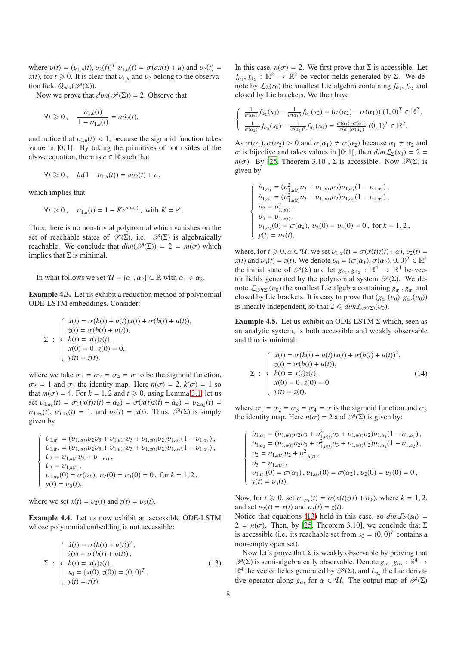where  $v(t) = (v_{1,u}(t), v_2(t))^T v_{1,u}(t) = \sigma(ax(t) + u)$  and  $v_2(t) =$  $x(t)$ , for  $t \ge 0$ . It is clear that  $v_{1,u}$  and  $v_2$  belong to the observation field  $Q_{obs}(\mathscr{P}(\Sigma))$ .

Now we prove that  $dim(\mathcal{P}(\Sigma)) = 2$ . Observe that

$$
\forall t \ge 0
$$
,  $\frac{\dot{v}_{1,u}(t)}{1 - v_{1,u}(t)} = a\dot{v}_2(t)$ ,

and notice that  $v_{1,u}(t) < 1$ , because the sigmoid function takes value in ]0; 1[. By taking the primitives of both sides of the above equation, there is  $c \in \mathbb{R}$  such that

$$
\forall t \geq 0, \quad \ln(1 - \nu_{1,u}(t)) = a \nu_2(t) + c \,,
$$

which implies that

$$
\forall t \geq 0
$$
,  $v_{1,u}(t) = 1 - Ke^{av_2(t)}$ , with  $K = e^c$ .

Thus, there is no non-trivial polynomial which vanishes on the set of reachable states of  $\mathscr{P}(\Sigma)$ , i.e.  $\mathscr{P}(\Sigma)$  is algebraically reachable. We conclude that  $dim(\mathcal{P}(\Sigma)) = 2 = m(\sigma)$  which implies that  $\Sigma$  is minimal.

In what follows we set  $\mathcal{U} = {\alpha_1, \alpha_2} \subset \mathbb{R}$  with  $\alpha_1 \neq \alpha_2$ .

Example 4.3. Let us exhibit a reduction method of polynomial ODE-LSTM embeddings. Consider:

$$
\Sigma : \begin{cases}\n\dot{x}(t) = \sigma(h(t) + u(t))x(t) + \sigma(h(t) + u(t)), \\
\dot{z}(t) = \sigma(h(t) + u(t)), \\
h(t) = x(t)z(t), \\
x(0) = 0, z(0) = 0, \\
y(t) = z(t),\n\end{cases}
$$

where we take  $\sigma_1 = \sigma_2 = \sigma_4 = \sigma$  to be the sigmoid function,  $\sigma_3 = 1$  and  $\sigma_5$  the identity map. Here  $n(\sigma) = 2$ ,  $k(\sigma) = 1$  so that  $m(\sigma) = 4$ . For  $k = 1, 2$  and  $t \ge 0$ , using Lemma [3.1,](#page-5-0) let us set  $v_{1,\alpha_k}(t) = \sigma_1(x(t)z(t) + \alpha_k) = \sigma(x(t)z(t) + \alpha_k) = v_{2,\alpha_k}(t) =$  $\nu_{4,\alpha_k}(t)$ ,  $\nu_{3,\alpha_k}(t) = 1$ , and  $\nu_5(t) = x(t)$ . Thus,  $\mathscr{P}(\Sigma)$  is simply given by

$$
\left\{\begin{array}{l} \dot v_{1,\alpha_1}=(v_{1,u(t)}v_2v_3+v_{1,u(t)}v_3+v_{1,u(t)}v_2)v_{1,\alpha_1}(1-v_{1,\alpha_1})\,,\\ \dot v_{1,\alpha_2}=(v_{1,u(t)}v_2v_3+v_{1,u(t)}v_3+v_{1,u(t)}v_2)v_{1,\alpha_2}(1-v_{1,\alpha_2})\,,\\ \dot v_2=v_{1,u(t)}v_2+v_{1,u(t)}\,,\\ \dot v_3=v_{1,u(t)}\,,\\ \dot v_{1,\alpha_k}(0)=\sigma(\alpha_k),\ v_2(0)=v_3(0)=0\,,\text{ for } k=1,2\,,\\ y(t)=v_3(t), \end{array}\right.
$$

where we set  $x(t) = v_2(t)$  and  $z(t) = v_3(t)$ .

Example 4.4. Let us now exhibit an accessible ODE-LSTM whose polynomial embedding is not accessible:

$$
\Sigma : \begin{cases} \dot{x}(t) = \sigma(h(t) + u(t))^2, \\ \dot{z}(t) = \sigma(h(t) + u(t)), \\ h(t) = x(t)z(t), \\ s_0 = (x(0), z(0)) = (0, 0)^T, \\ y(t) = z(t). \end{cases}
$$
(13)

In this case,  $n(\sigma) = 2$ . We first prove that  $\Sigma$  is accessible. Let  $f_{\alpha_1}, f_{\alpha_2} : \mathbb{R}^2 \to \mathbb{R}^2$  be vector fields generated by Σ. We denote by  $\mathcal{L}_{\Sigma}(s_0)$  the smallest Lie algebra containing  $f_{\alpha_1}, f_{\alpha_2}$  and closed by Lie brackets. We then have

$$
\begin{cases} \frac{1}{\sigma(\alpha_2)} f_{\alpha_2}(s_0) - \frac{1}{\sigma(\alpha_1)} f_{\alpha_1}(s_0) = (\sigma(\alpha_2) - \sigma(\alpha_1)) (1,0)^T \in \mathbb{R}^2, \\ \frac{1}{\sigma(\alpha_2)^2} f_{\alpha_2}(s_0) - \frac{1}{\sigma(\alpha_1)^2} f_{\alpha_1}(s_0) = \frac{\sigma(\alpha_1) - \sigma(\alpha_2)}{\sigma(\alpha_1)\sigma(\alpha_2)} (0,1)^T \in \mathbb{R}^2. \end{cases}
$$

As  $\sigma(\alpha_1), \sigma(\alpha_2) > 0$  and  $\sigma(\alpha_1) \neq \sigma(\alpha_2)$  because  $\alpha_1 \neq \alpha_2$  and *σ* is bijective and takes values in [0; 1], then  $dim L_{\Sigma}(s_0) = 2 =$ *n*( $\sigma$ ). By [\[25,](#page-8-22) Theorem 3.10], Σ is accessible. Now  $\mathcal{P}(\Sigma)$  is given by

$$
\left\{\begin{array}{l} \dot{v}_{1,\alpha_1}=(v_{1,u(t)}^2v_3+v_{1,u(t)}v_2)v_{1,\alpha_1}(1-v_{1,\alpha_1})\,,\\ \dot{v}_{1,\alpha_2}=(v_{1,u(t)}^2v_3+v_{1,u(t)}v_2)v_{1,\alpha_2}(1-v_{1,\alpha_2})\,,\\ \dot{v}_2=v_{1,u(t)}^2\,,\\ \dot{v}_3=v_{1,u(t)}\,,\\ \dot{v}_{3}=v_{1,u(t)}\,,\\ \dot{v}_{1,\alpha_k}(0)=\sigma(\alpha_k),\ v_2(0)=v_3(0)=0\,,\text{ for } k=1,2\,,\\ \dot{y}(t)=v_3(t), \end{array}\right.
$$

where, for  $t \ge 0$ ,  $\alpha \in \mathcal{U}$ , we set  $v_{1,\alpha}(t) = \sigma(x(t)z(t) + \alpha)$ ,  $v_2(t) =$ *x*(*t*) and  $v_3(t) = z(t)$ . We denote  $v_0 = (\sigma(\alpha_1), \sigma(\alpha_2), 0, 0)^T \in \mathbb{R}^4$ the initial state of  $\mathscr{P}(\Sigma)$  and let  $g_{\alpha_1}, g_{\alpha_2} : \mathbb{R}^4 \to \mathbb{R}^4$  be vector fields generated by the polynomial system  $\mathcal{P}(\Sigma)$ . We denote  $\mathcal{L}_{\mathscr{P}(\Sigma)}(v_0)$  the smallest Lie algebra containing  $g_{\alpha_1}, g_{\alpha_2}$  and closed by Lie brackets. It is easy to prove that  $(g_{\alpha_1}(v_0), g_{\alpha_2}(v_0))$ is linearly independent, so that  $2 \leq dim\mathcal{L}_{\mathscr{P}(\Sigma)}(\nu_0)$ .

Example 4.5. Let us exhibit an ODE-LSTM  $\Sigma$  which, seen as an analytic system, is both accessible and weakly observable and thus is minimal:

$$
\Sigma : \begin{cases} \n\dot{x}(t) = \sigma(h(t) + u(t))x(t) + \sigma(h(t) + u(t))^2, \\
\dot{z}(t) = \sigma(h(t) + u(t)), \\
h(t) = x(t)z(t), \\
x(0) = 0, z(0) = 0, \\
y(t) = z(t),\n\end{cases}
$$
\n(14)

where  $\sigma_1 = \sigma_2 = \sigma_3 = \sigma_4 = \sigma$  is the sigmoid function and  $\sigma_5$ the identity map. Here  $n(\sigma) = 2$  and  $\mathcal{P}(\Sigma)$  is given by:

$$
\label{eq:20} \left\{ \begin{array}{l} \dot{\upsilon}_{1,\alpha_1}=(\upsilon_{1,u(t)}\upsilon_2\upsilon_3+\upsilon_{1,u(t)}^2\upsilon_3+\upsilon_{1,u(t)}\upsilon_2)\upsilon_{1,\alpha_1}(1-\upsilon_{1,\alpha_1})\,,\\ \dot{\upsilon}_{1,\alpha_2}=(\upsilon_{1,u(t)}\upsilon_2\upsilon_3+\upsilon_{1,u(t)}^2\upsilon_3+\upsilon_{1,u(t)}\upsilon_2)\upsilon_{1,\alpha_2}(1-\upsilon_{1,\alpha_2})\,,\\ \dot{\upsilon}_2=\upsilon_{1,u(t)}\upsilon_2+\upsilon_{1,u(t)}^2\,,\\ \dot{\upsilon}_3=\upsilon_{1,u(t)}\,,\\ \upsilon_{1,\alpha_1}(0)=\sigma(\alpha_1)\,,\upsilon_{1,\alpha_2}(0)=\sigma(\alpha_2)\,,\upsilon_2(0)=\upsilon_3(0)=0\,,\\ \boldsymbol{y}(t)=\upsilon_3(t). \end{array} \right.
$$

Now, for  $t \ge 0$ , set  $v_{1,\alpha_k}(t) = \sigma(x(t)z(t) + \alpha_k)$ , where  $k = 1, 2$ , and set  $v_2(t) = x(t)$  and  $v_3(t) = z(t)$ .

<span id="page-7-0"></span>Notice that equations [\(13\)](#page-7-0) hold in this case, so  $dim\mathcal{L}_\Sigma(s_0)$  =  $2 = n(\sigma)$ . Then, by [\[25,](#page-8-22) Theorem 3.10], we conclude that  $\Sigma$ is accessible (i.e. its reachable set from  $s_0 = (0, 0)^T$  contains a non-empty open set).

Now let's prove that  $\Sigma$  is weakly observable by proving that  $\mathscr{P}(\Sigma)$  is semi-algebraically observable. Denote  $g_{\alpha_1}, g_{\alpha_2} : \mathbb{R}^4 \to$  $\mathbb{R}^4$  the vector fields generated by  $\mathscr{P}(\Sigma)$ , and  $L_{g_\alpha}$  the Lie derivative operator along  $g_\alpha$ , for  $\alpha \in \mathcal{U}$ . The output map of  $\mathcal{P}(\Sigma)$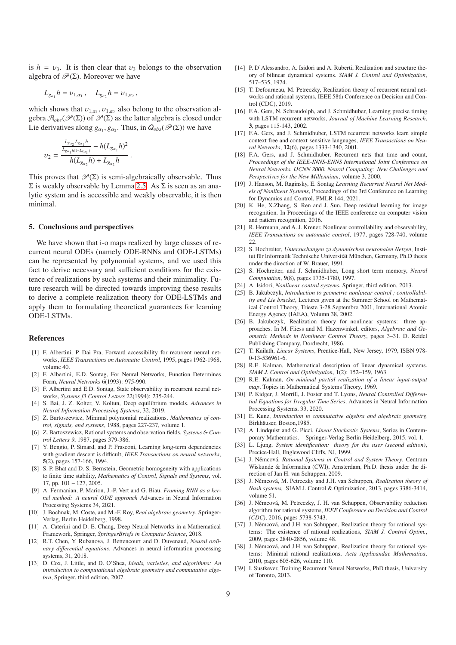is  $h = v_3$ . It is then clear that  $v_3$  belongs to the observation algebra of  $\mathcal{P}(\Sigma)$ . Moreover we have

$$
L_{g_{\alpha_1}} h = \nu_{1,\alpha_1} \,, \quad L_{g_{\alpha_2}} h = \nu_{1,\alpha_2} \,,
$$

which shows that  $v_{1,\alpha_1}, v_{1,\alpha_2}$  also belong to the observation algebra  $\mathcal{A}_{obs}(\mathscr{P}(\Sigma))$  of  $\mathscr{P}(\Sigma)$  as the latter algebra is closed under Lie derivatives along  $g_{\alpha_1}, g_{\alpha_2}$ . Thus, in  $Q_{obs}(\mathscr{P}(\Sigma))$  we have

$$
\upsilon_2 = \frac{\frac{L_{g_{\alpha_2}}L_{g_{\alpha_1}}h}{L_{g_{\alpha_1}}h(1-L_{g_{\alpha_1}})}-h(L_{g_{\alpha_2}}h)^2}{h(L_{g_{\alpha_2}}h) + L_{g_{\alpha_2}}h}.
$$

This proves that  $\mathcal{P}(\Sigma)$  is semi-algebraically observable. Thus  $\Sigma$  is weakly observable by Lemma [2.5.](#page-4-2) As  $\Sigma$  is seen as an analytic system and is accessible and weakly observable, it is then minimal.

### 5. Conclusions and perspectives

We have shown that i-o maps realized by large classes of recurrent neural ODEs (namely ODE-RNNs and ODE-LSTMs) can be represented by polynomial systems, and we used this fact to derive necessary and sufficient conditions for the existence of realizations by such systems and their minimality. Future research will be directed towards improving these results to derive a complete realization theory for ODE-LSTMs and apply them to formulating theoretical guarantees for learning ODE-LSTMs.

#### References

- [1] F. Albertini, P. Dai Pra, Forward accessibility for recurrent neural networks, *IEEE Transactions on Automatic Control*, 1995, pages 1962-1968, volume 40.
- <span id="page-8-16"></span>[2] F. Albertini, E.D. Sontag, For Neural Networks, Function Determines Form, *Neural Networks* 6(1993): 975-990.
- <span id="page-8-15"></span>[3] F. Albertini and E.D. Sontag, State observability in recurrent neural networks, *Systems f3 Control Letters* 22(1994): 235-244.
- <span id="page-8-4"></span>[4] S. Bai, J. Z. Kolter, V. Koltun, Deep equilibrium models. *Advances in Neural Information Processing Systems*, 32, 2019.
- <span id="page-8-10"></span>[5] Z. Bartoszewicz, Minimal polynomial realizations, *Mathematics of control, signals, and systems*, 1988, pages 227-237, volume 1.
- <span id="page-8-18"></span>[6] Z. Bartoszewicz, Rational systems and observation fields, *Systems* & *Control Letters 9*, 1987, pages 379-386.
- <span id="page-8-2"></span>[7] Y. Bengio, P. Simard, and P. Frasconi, Learning long-term dependencies with gradient descent is difficult, *IEEE Transactions on neural networks*, 5(2), pages 157-166, 1994.
- [8] S. P. Bhat and D. S. Bernstein, Geometric homogeneity with applications to finite time stability, *Mathematics of Control, Signals and Systems*, vol. 17, pp. 101 – 127, 2005.
- [9] A. Fermanian, P. Marion, J.-P. Vert and G. Biau, *Framing RNN as a kernel method: A neural ODE approach* Advances in Neural Information Processing Systems 34, 2021.
- [10] J. Bochnak, M. Coste, and M.-F. Roy, *Real algebraic geometry*, Springer-Verlag, Berlin Heidelberg, 1998.
- [11] A. Caterini and D. E. Chang, Deep Neural Networks in a Mathematical Framework, Springer, *SpringerBriefs in Computer Science*, 2018.
- <span id="page-8-3"></span>[12] R.T. Chen, Y. Rubanova, J. Bettencourt and D. Duvenaud, *Neural ordinary di*ff*erential equations*. Advances in neural information processing systems, 31, 2018.
- [13] D. Cox, J. Little, and D. O'Shea, *Ideals, varieties, and algorithms: An introduction to computational algebraic geometry and commutative algebra*, Springer, third edition, 2007.
- [14] P. D'Alessandro, A. Isidori and A. Ruberti, Realization and structure theory of bilinear dynamical systems. *SIAM J. Control and Optimization*, 517–535, 1974.
- <span id="page-8-17"></span>[15] T. Defourneau, M. Petreczky, Realization theory of recurrent neural networks and rational systems, IEEE 58th Conference on Decision and Control (CDC), 2019.
- [16] F.A. Gers, N. Schraudolph, and J. Schmidhuber, Learning precise timing with LSTM recurrent networks, *Journal of Machine Learning Research*, 3, pages 115-143, 2002.
- [17] F.A. Gers, and J. Schmidhuber, LSTM recurrent networks learn simple context free and context sensitive languages, *IEEE Transactions on Neural Networks*, 12(6), pages 1333-1340, 2001.
- <span id="page-8-21"></span>[18] F.A. Gers, and J. Schmidhuber, Recurrent nets that time and count, *Proceedings of the IEEE-INNS-ENNS International Joint Conference on Neural Networks. IJCNN 2000. Neural Computing: New Challenges and Perspectives for the New Millennium*, volume 3, 2000.
- [19] J. Hanson, M. Raginsky, E. Sontag *Learning Recurrent Neural Net Models of Nonlinear Systems*, Proceedings of the 3rd Conference on Learning for Dynamics and Control, PMLR 144, 2021.
- [20] K. He, X.Zhang, S. Ren and J. Sun, Deep residual learning for image recognition. In Proceedings of the IEEE conference on computer vision and pattern recognition, 2016.
- <span id="page-8-13"></span>[21] R. Hermann, and A. J. Krener, Nonlinear controllability and observability, *IEEE Transactions on automatic control*, 1977, pages 728-740, volume  $22.$
- <span id="page-8-1"></span>[22] S. Hochreiter, *Untersuchungen zu dynamischen neuronalen Netzen*, Institut für Informatik Technische Universität München, Germany, Ph.D thesis under the direction of W. Brauer, 1991.
- <span id="page-8-0"></span>[23] S. Hochreiter, and J. Schmidhuber, Long short term memory, *Neural Computation*, 9(8), pages 1735-1780, 1997.
- <span id="page-8-12"></span>[24] A. Isidori, *Nonlinear control systems*, Springer, third edition, 2013.
- <span id="page-8-22"></span>[25] B. Jakubczyk, *Introduction to geometric nonlinear control ; controllability and Lie bracket*, Lectures given at the Summer School on Mathematical Control Theory, Trieste 3-28 Septembre 2001, International Atomic Energy Agency (IAEA), Volumn 38, 2002.
- <span id="page-8-11"></span>[26] B. Jakubczyk, Realization theory for nonlinear systems: three approaches. In M. Fliess and M. Hazenwinkel, editors, *Algebraic and Geometric Methods in Nonlinear Control Theory*, pages 3–31. D. Reidel Publishing Company, Dordrecht, 1986.
- <span id="page-8-6"></span>[27] T. Kailath, *Linear Systems*, Prentice-Hall, New Jersey, 1979, ISBN 978- 0-13-536961-6.
- [28] R.E. Kalman, Mathematical description of linear dynamical systems. *SIAM J. Control and Optimization*, 1(2): 152–159, 1963.
- [29] R.E. Kalman, *On minimal partial realization of a linear input-output map*, Topics in Mathematical Systems Theory, 1969.
- <span id="page-8-5"></span>[30] P. Kidger, J. Morrill, J. Foster and T. Lyons, *Neural Controlled Di*ff*erential Equations for Irregular Time Series*, Advances in Neural Information Processing Systems, 33, 2020.
- [31] E. Kunz, *Introduction to commutative algebra and algebraic geometry,* Birkhäuser, Boston, 1985.
- <span id="page-8-7"></span>[32] A. Lindquist and G. Picci, *Linear Stochastic Systems*, Series in Contemporary Mathematics. Springer-Verlag Berlin Heidelberg, 2015, vol. 1.
- [33] L. Ljung, *System identification: theory for the user (second edition)*, Precice-Hall, Englewood Cliffs, NJ, 1999.
- <span id="page-8-9"></span>[34] J. Němcová, *Rational Systems in Control and System Theory*, Centrum Wiskunde & Informatica (CWI), Amsterdam, Ph.D. thesis under the direction of Jan H. van Schuppen, 2009.
- <span id="page-8-20"></span>[35] J. Němcová, M. Petreczky and J.H. van Schuppen, *Realization theory of Nash systems,* SIAM J. Control & Optimization, 2013, pages 3386-3414, volume 51.
- <span id="page-8-14"></span>[36] J. Němcová, M. Petreczky, J. H. van Schuppen, Observability reduction algorithm for rational systems, *IEEE Conference on Decision and Control (CDC)*, 2016, pages 5738-5743.
- <span id="page-8-8"></span>[37] J. Němcová, and J.H. van Schuppen, Realization theory for rational systems: The existence of rational realizations, *SIAM J. Control Optim.*, 2009, pages 2840-2856, volume 48.
- <span id="page-8-19"></span>[38] J. Němcová, and J.H. van Schuppen, Realization theory for rational systems: Minimal rational realizations, *Acta Applicandae Mathematica*, 2010, pages 605-626, volume 110.
- [39] I. Sustkever, Training Recurrent Neural Networks, PhD thesis, University of Toronto, 2013.